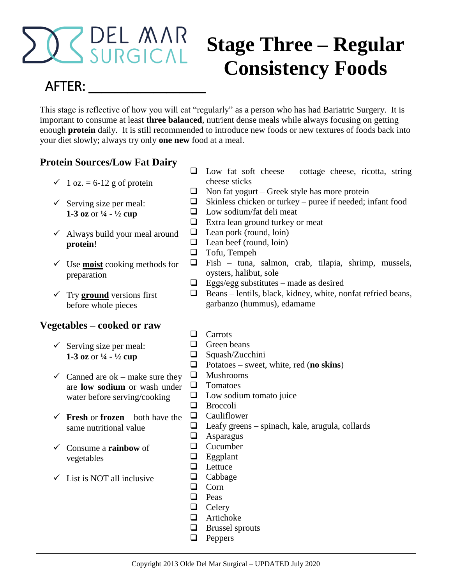

# **Stage Three – Regular Consistency Foods**

# AFTER:

This stage is reflective of how you will eat "regularly" as a person who has had Bariatric Surgery. It is important to consume at least **three balanced**, nutrient dense meals while always focusing on getting enough **protein** daily. It is still recommended to introduce new foods or new textures of foods back into your diet slowly; always try only **one new** food at a meal.

|              | <b>Protein Sources/Low Fat Dairy</b>                                               |        |                                                              |
|--------------|------------------------------------------------------------------------------------|--------|--------------------------------------------------------------|
|              |                                                                                    | ப      | Low fat soft cheese $-$ cottage cheese, ricotta, string      |
|              | $\checkmark$ 1 oz. = 6-12 g of protein                                             |        | cheese sticks                                                |
|              |                                                                                    | ⊔      | Non fat yogurt – Greek style has more protein                |
|              | $\checkmark$ Serving size per meal:                                                | $\Box$ | Skinless chicken or turkey – puree if needed; infant food    |
|              | 1-3 oz or $\frac{1}{4}$ - $\frac{1}{2}$ cup                                        | ப      | Low sodium/fat deli meat                                     |
|              |                                                                                    | ❏      | Extra lean ground turkey or meat                             |
| ✓            | Always build your meal around                                                      | $\Box$ | Lean pork (round, loin)                                      |
|              | protein!                                                                           | ❏      | Lean beef (round, loin)                                      |
|              |                                                                                    | $\Box$ | Tofu, Tempeh                                                 |
| ✓            |                                                                                    | ❏      | Fish – tuna, salmon, crab, tilapia, shrimp, mussels,         |
|              | Use <b>moist</b> cooking methods for<br>preparation                                |        | oysters, halibut, sole                                       |
|              |                                                                                    |        | $\Box$ Eggs/egg substitutes – made as desired                |
| ✓            |                                                                                    | ⊔      | Beans – lentils, black, kidney, white, nonfat refried beans, |
|              | Try <b>ground</b> versions first<br>before whole pieces                            |        | garbanzo (hummus), edamame                                   |
|              |                                                                                    |        |                                                              |
|              | Vegetables – cooked or raw                                                         |        |                                                              |
|              |                                                                                    | ப      | Carrots                                                      |
|              |                                                                                    | ⊔      | Green beans                                                  |
|              | $\checkmark$ Serving size per meal:<br>1-3 oz or $\frac{1}{4}$ - $\frac{1}{2}$ cup | $\Box$ | Squash/Zucchini                                              |
|              |                                                                                    | ⊔      | Potatoes – sweet, white, red (no skins)                      |
| $\checkmark$ | Canned are $ok$ – make sure they                                                   | $\Box$ | Mushrooms                                                    |
|              | are low sodium or wash under                                                       | ❏      | Tomatoes                                                     |
|              | water before serving/cooking                                                       | $\Box$ | Low sodium tomato juice                                      |
|              |                                                                                    | ❏      | <b>Broccoli</b>                                              |
| ✓            | Fresh or frozen – both have the                                                    | ⊔      | Cauliflower                                                  |
|              | same nutritional value                                                             | ⊔      | Leafy greens – spinach, kale, arugula, collards              |
|              |                                                                                    | ⊔      | Asparagus                                                    |
| ✓            | Consume a rainbow of                                                               | ⊔      | Cucumber                                                     |
|              | vegetables                                                                         | $\Box$ | Eggplant                                                     |
|              |                                                                                    | ❏      | Lettuce                                                      |
|              | List is NOT all inclusive                                                          | $\Box$ | Cabbage                                                      |
|              |                                                                                    | ❏      | Corn                                                         |
|              |                                                                                    | ❏      | Peas                                                         |
|              |                                                                                    | ❏      | Celery                                                       |
|              |                                                                                    | ❏      | Artichoke                                                    |
|              |                                                                                    | ❏      | <b>Brussel</b> sprouts                                       |
|              |                                                                                    | ❏      | Peppers                                                      |
|              |                                                                                    |        |                                                              |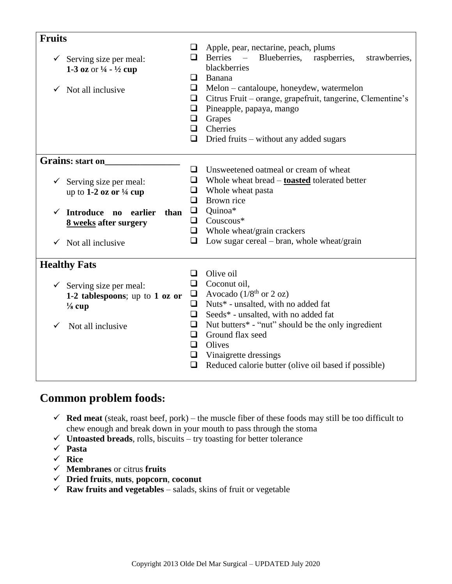| <b>Fruits</b>                               |        |                                                                             |  |  |
|---------------------------------------------|--------|-----------------------------------------------------------------------------|--|--|
|                                             |        | Apple, pear, nectarine, peach, plums                                        |  |  |
| $\checkmark$ Serving size per meal:         | ப      | <b>Berries</b><br>Blueberries,<br>$\equiv$<br>raspberries,<br>strawberries, |  |  |
| 1-3 oz or $\frac{1}{4}$ - $\frac{1}{2}$ cup |        | blackberries                                                                |  |  |
|                                             | ப      | Banana                                                                      |  |  |
| Not all inclusive<br>✓                      | ⊔      | Melon – cantaloupe, honeydew, watermelon                                    |  |  |
|                                             | ⊔      | Citrus Fruit – orange, grapefruit, tangerine, Clementine's                  |  |  |
|                                             | ❏      | Pineapple, papaya, mango                                                    |  |  |
|                                             | $\Box$ | Grapes                                                                      |  |  |
|                                             | O      | Cherries                                                                    |  |  |
|                                             | ❏      |                                                                             |  |  |
|                                             |        | Dried fruits – without any added sugars                                     |  |  |
| <b>Grains:</b> start on                     |        |                                                                             |  |  |
|                                             | □      | Unsweetened oatmeal or cream of wheat                                       |  |  |
| Serving size per meal:<br>✓                 | ❏      | Whole wheat bread – <b>toasted</b> tolerated better                         |  |  |
| up to 1-2 oz or $\frac{1}{4}$ cup           | ⊔      | Whole wheat pasta                                                           |  |  |
|                                             | ❏      | Brown rice                                                                  |  |  |
| Introduce no earlier<br>than<br>✓           | $\Box$ | Quinoa*                                                                     |  |  |
| 8 weeks after surgery                       | $\Box$ | $Couscous*$                                                                 |  |  |
|                                             | ⊔      | Whole wheat/grain crackers                                                  |  |  |
| Not all inclusive<br>✓                      | ❏      | Low sugar cereal – bran, whole wheat/grain                                  |  |  |
|                                             |        |                                                                             |  |  |
| <b>Healthy Fats</b>                         |        |                                                                             |  |  |
|                                             | ❏      | Olive oil                                                                   |  |  |
| $\checkmark$ Serving size per meal:         | ⊔      | Coconut oil,                                                                |  |  |
| 1-2 tablespoons; up to 1 oz or              | $\Box$ | Avocado $(1/8^{th}$ or 2 oz)                                                |  |  |
| $\frac{1}{8}$ cup                           | $\Box$ | Nuts* - unsalted, with no added fat                                         |  |  |
|                                             | $\Box$ | Seeds* - unsalted, with no added fat                                        |  |  |
| Not all inclusive<br>✓                      | ❏      | Nut butters* - "nut" should be the only ingredient                          |  |  |
|                                             | ப      | Ground flax seed                                                            |  |  |
|                                             | ப      | Olives                                                                      |  |  |
|                                             | $\Box$ | Vinaigrette dressings                                                       |  |  |
|                                             | $\Box$ | Reduced calorie butter (olive oil based if possible)                        |  |  |
|                                             |        |                                                                             |  |  |

## **Common problem foods:**

- $\checkmark$  **Red meat** (steak, roast beef, pork) the muscle fiber of these foods may still be too difficult to chew enough and break down in your mouth to pass through the stoma
- $\checkmark$  **Untoasted breads**, rolls, biscuits try toasting for better tolerance
- **Pasta**
- **Rice**
- **Membranes** or citrus **fruits**
- **Dried fruits**, **nuts**, **popcorn**, **coconut**
- $\checkmark$  **Raw fruits and vegetables** salads, skins of fruit or vegetable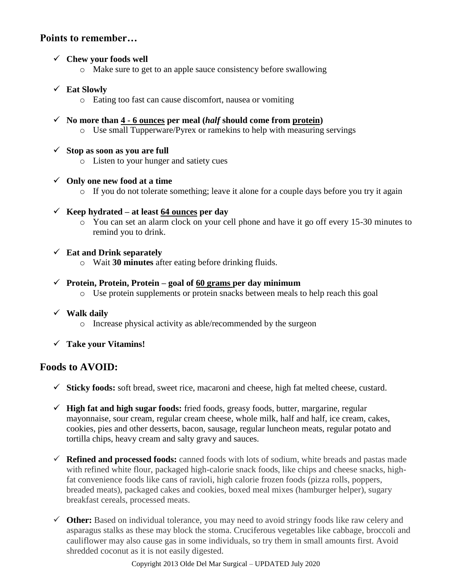#### **Points to remember…**

#### **Chew your foods well**

o Make sure to get to an apple sauce consistency before swallowing

#### **Eat Slowly**

- o Eating too fast can cause discomfort, nausea or vomiting
- $\checkmark$  No more than 4 6 ounces per meal (*half* should come from protein) o Use small Tupperware/Pyrex or ramekins to help with measuring servings
- $\checkmark$  Stop as soon as you are full
	- o Listen to your hunger and satiety cues
- **Only one new food at a time**
	- $\circ$  If you do not tolerate something; leave it alone for a couple days before you try it again
- $\checkmark$  Keep hydrated at least 64 ounces per day
	- o You can set an alarm clock on your cell phone and have it go off every 15-30 minutes to remind you to drink.

#### **Eat and Drink separately**

o Wait **30 minutes** after eating before drinking fluids.

#### $\checkmark$  Protein, Protein, Protein – goal of 60 grams per day minimum

o Use protein supplements or protein snacks between meals to help reach this goal

#### **Walk daily**

- o Increase physical activity as able/recommended by the surgeon
- **Take your Vitamins!**

#### **Foods to AVOID:**

- **Sticky foods:** soft bread, sweet rice, macaroni and cheese, high fat melted cheese, custard.
- **High fat and high sugar foods:** fried foods, greasy foods, butter, margarine, regular mayonnaise, sour cream, regular cream cheese, whole milk, half and half, ice cream, cakes, cookies, pies and other desserts, bacon, sausage, regular luncheon meats, regular potato and tortilla chips, heavy cream and salty gravy and sauces.
- **Refined and processed foods:** canned foods with lots of sodium, white breads and pastas made with refined white flour, packaged high-calorie snack foods, like chips and cheese snacks, highfat convenience foods like cans of ravioli, high calorie frozen foods (pizza rolls, poppers, breaded meats), packaged cakes and cookies, boxed meal mixes (hamburger helper), sugary breakfast cereals, processed meats.
- **Other:** Based on individual tolerance, you may need to avoid stringy foods like raw celery and asparagus stalks as these may block the stoma. Cruciferous vegetables like cabbage, broccoli and cauliflower may also cause gas in some individuals, so try them in small amounts first. Avoid shredded coconut as it is not easily digested.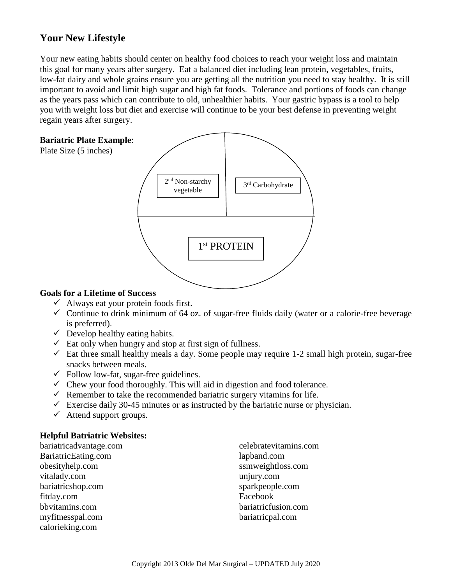### **Your New Lifestyle**

Your new eating habits should center on healthy food choices to reach your weight loss and maintain this goal for many years after surgery. Eat a balanced diet including lean protein, vegetables, fruits, low-fat dairy and whole grains ensure you are getting all the nutrition you need to stay healthy. It is still important to avoid and limit high sugar and high fat foods. Tolerance and portions of foods can change as the years pass which can contribute to old, unhealthier habits. Your gastric bypass is a tool to help you with weight loss but diet and exercise will continue to be your best defense in preventing weight regain years after surgery.

#### **Bariatric Plate Example**:

Plate Size (5 inches)



#### **Goals for a Lifetime of Success**

- $\checkmark$  Always eat your protein foods first.
- $\checkmark$  Continue to drink minimum of 64 oz. of sugar-free fluids daily (water or a calorie-free beverage is preferred).
- $\checkmark$  Develop healthy eating habits.
- $\checkmark$  Eat only when hungry and stop at first sign of fullness.
- $\checkmark$  Eat three small healthy meals a day. Some people may require 1-2 small high protein, sugar-free snacks between meals.
- $\checkmark$  Follow low-fat, sugar-free guidelines.
- $\checkmark$  Chew your food thoroughly. This will aid in digestion and food tolerance.
- $\checkmark$  Remember to take the recommended bariatric surgery vitamins for life.
- $\checkmark$  Exercise daily 30-45 minutes or as instructed by the bariatric nurse or physician.
- $\checkmark$  Attend support groups.

#### **Helpful Batriatric Websites:**

| bariatricadvantage.com |
|------------------------|
| BariatricEating.com    |
| obesityhelp.com        |
| vitalady.com           |
| bariatricshop.com      |
| fitday.com             |
| bbvitamins.com         |
| myfitnesspal.com       |
| calorieking.com        |

celebratevitamins.com lapband.com ssmweightloss.com unjury.com sparkpeople.com Facebook bariatricfusion.com bariatricpal.com